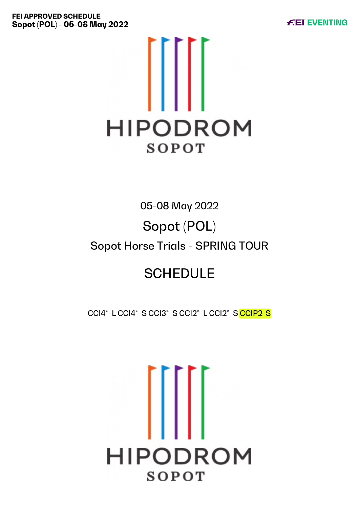

# 05-08 May 2022 Sopot (POL) Sopot Horse Trials - SPRING TOUR

# **SCHEDULE**

CCI4\*-L CCI4\*-S CCI3\*-S CCI2\*-L CCI2\*-S CCIP2-S

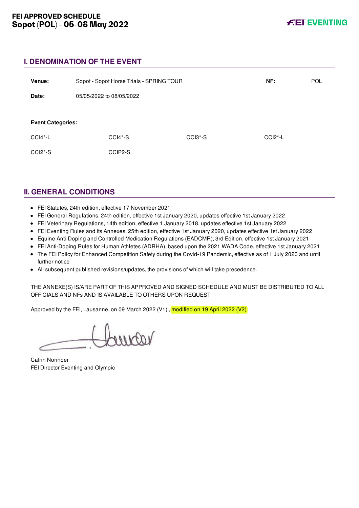# **I. DENOMINATION OF THE EVENT**

| Venue:                   | Sopot - Sopot Horse Trials - SPRING TOUR |         | NF:                              | <b>POL</b>   |  |
|--------------------------|------------------------------------------|---------|----------------------------------|--------------|--|
| Date:                    | 05/05/2022 to 08/05/2022                 |         |                                  |              |  |
|                          |                                          |         |                                  |              |  |
| <b>Event Categories:</b> |                                          |         |                                  |              |  |
| $CCI4*-L$                | $CCI4*-S$                                |         | CCI <sub>3</sub> <sup>*</sup> -S | $CCI2^* - L$ |  |
| $CCI2*-S$                |                                          | CCIP2-S |                                  |              |  |
|                          |                                          |         |                                  |              |  |

# **II. GENERAL CONDITIONS**

- FEI Statutes, 24th edition, effective 17 November 2021
- FEI General Regulations, 24th edition, effective 1st January 2020, updates effective 1st January 2022
- FEI Veterinary Regulations, 14th edition, effective 1 January 2018, updates effective 1st January 2022
- FEI Eventing Rules and its Annexes, 25th edition, effective 1st January 2020, updates effective 1st January 2022
- Equine Anti-Doping and Controlled Medication Regulations (EADCMR), 3rd Edition, effective 1st January 2021
- FEI Anti-Doping Rules for Human Athletes (ADRHA), based upon the 2021 WADA Code, effective 1st January 2021
- The FEI Policy for Enhanced Competition Safety during the Covid-19 Pandemic, effective as of 1 July 2020 and until further notice
- All subsequent published revisions/updates, the provisions of which will take precedence.

THE ANNEXE(S) IS/ARE PART OF THIS APPROVED AND SIGNED SCHEDULE AND MUST BE DISTRIBUTED TO ALL OFFICIALS AND NFs AND IS AVAILABLE TO OTHERS UPON REQUEST

Approved by the FEI, Lausanne, on 09 March 2022 (V1), modified on 19 April 2022 (V2)

 $\n *u*$ 

Catrin Norinder FEI Director Eventing and Olympic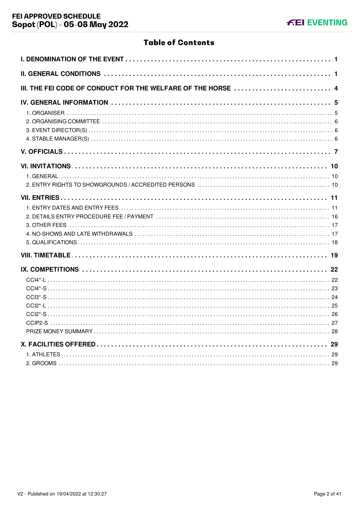# **Table of Contents**

| III. THE FEI CODE OF CONDUCT FOR THE WELFARE OF THE HORSE  4 |
|--------------------------------------------------------------|
|                                                              |
|                                                              |
|                                                              |
|                                                              |
|                                                              |
|                                                              |
|                                                              |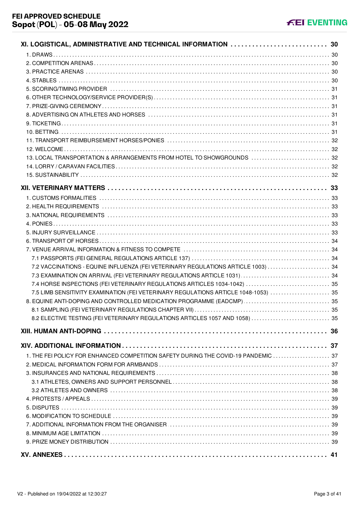# **KEI EVENTING**

| XI. LOGISTICAL, ADMINISTRATIVE AND TECHNICAL INFORMATION 30                         |      |
|-------------------------------------------------------------------------------------|------|
|                                                                                     |      |
|                                                                                     |      |
|                                                                                     |      |
|                                                                                     |      |
|                                                                                     |      |
|                                                                                     |      |
|                                                                                     |      |
|                                                                                     |      |
|                                                                                     |      |
|                                                                                     |      |
|                                                                                     |      |
|                                                                                     |      |
| 13. LOCAL TRANSPORTATION & ARRANGEMENTS FROM HOTEL TO SHOWGROUNDS  32               |      |
|                                                                                     |      |
|                                                                                     |      |
|                                                                                     |      |
|                                                                                     |      |
|                                                                                     |      |
|                                                                                     |      |
|                                                                                     |      |
|                                                                                     |      |
|                                                                                     |      |
|                                                                                     |      |
|                                                                                     |      |
| 7.2 VACCINATIONS - EQUINE INFLUENZA (FEI VETERINARY REGULATIONS ARTICLE 1003)  34   |      |
|                                                                                     |      |
| 7.4 HORSE INSPECTIONS (FEI VETERINARY REGULATIONS ARTICLES 1034-1042)  35           |      |
| 7.5 LIMB SENSITIVITY EXAMINATION (FEI VETERINARY REGULATIONS ARTICLE 1048-1053)  35 |      |
| 8. EQUINE ANTI-DOPING AND CONTROLLED MEDICATION PROGRAMME (EADCMP)  35              |      |
| 8.1 SAMPLING (FEI VETERINARY REGULATIONS CHAPTER VII)                               | - 35 |
| 8.2 ELECTIVE TESTING (FEI VETERINARY REGULATIONS ARTICLES 1057 AND 1058)  35        |      |
|                                                                                     |      |
|                                                                                     |      |
|                                                                                     |      |
| 1. THE FEI POLICY FOR ENHANCED COMPETITION SAFETY DURING THE COVID-19 PANDEMIC  37  |      |
|                                                                                     |      |
|                                                                                     |      |
|                                                                                     |      |
|                                                                                     |      |
|                                                                                     |      |
|                                                                                     |      |
|                                                                                     |      |
|                                                                                     |      |
|                                                                                     |      |
|                                                                                     |      |
|                                                                                     |      |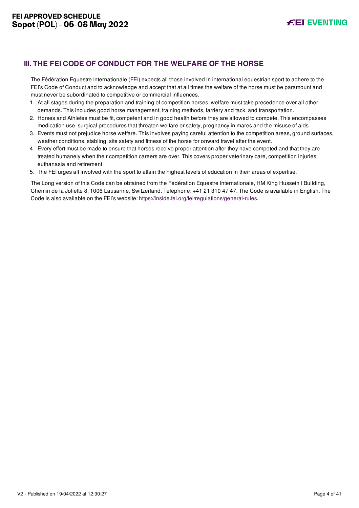# <span id="page-4-0"></span>**III. THE FEI CODE OF CONDUCT FOR THE WELFARE OF THE HORSE**

The Fédération Equestre Internationale (FEI) expects all those involved in international equestrian sport to adhere to the FEI's Code of Conduct and to acknowledge and accept that at all times the welfare of the horse must be paramount and must never be subordinated to competitive or commercial influences.

- 1. At all stages during the preparation and training of competition horses, welfare must take precedence over all other demands. This includes good horse management, training methods, farriery and tack, and transportation.
- 2. Horses and Athletes must be fit, competent and in good health before they are allowed to compete. This encompasses medication use, surgical procedures that threaten welfare or safety, pregnancy in mares and the misuse of aids.
- 3. Events must not prejudice horse welfare. This involves paying careful attention to the competition areas, ground surfaces, weather conditions, stabling, site safety and fitness of the horse for onward travel after the event.
- 4. Every effort must be made to ensure that horses receive proper attention after they have competed and that they are treated humanely when their competition careers are over. This covers proper veterinary care, competition injuries, euthanasia and retirement.
- 5. The FEI urges all involved with the sport to attain the highest levels of education in their areas of expertise.

The Long version of this Code can be obtained from the Fédération Equestre Internationale, HM King Hussein I Building, Chemin de la Joliette 8, 1006 Lausanne, Switzerland. Telephone: +41 21 310 47 47. The Code is available in English. The Code is also available on the FEI's website:<https://inside.fei.org/fei/regulations/general-rules>.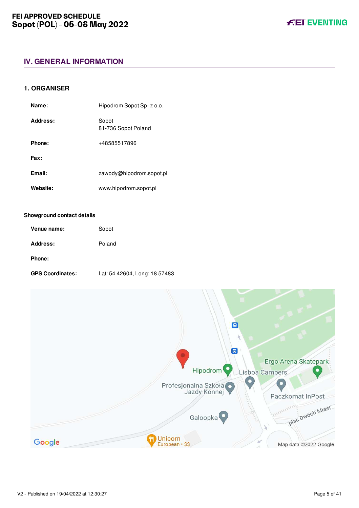# <span id="page-5-0"></span>**IV. GENERAL INFORMATION**

#### <span id="page-5-1"></span>**1. ORGANISER**

| Name:    | Hipodrom Sopot Sp- z o.o.    |
|----------|------------------------------|
| Address: | Sopot<br>81-736 Sopot Poland |
| Phone:   | +48585517896                 |
| Fax:     |                              |
| Email:   | zawody@hipodrom.sopot.pl     |
| Website: | www.hipodrom.sopot.pl        |

#### **Showground contact details**

| Venue name: | Sopot  |
|-------------|--------|
| Address:    | Poland |
| Phone:      |        |

**GPS Coordinates:** Lat: 54.42604, Long: 18.57483

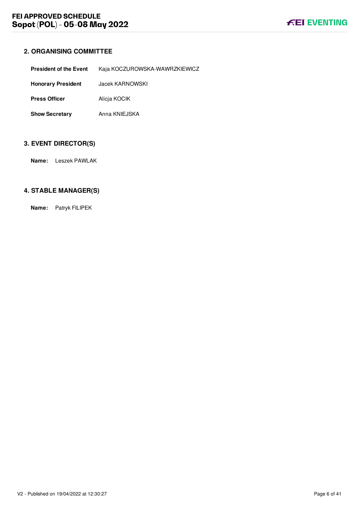# <span id="page-6-0"></span>**2. ORGANISING COMMITTEE**

| <b>President of the Event</b> | Kaja KOCZUROWSKA-WAWRZKIEWICZ |
|-------------------------------|-------------------------------|
| <b>Honorary President</b>     | Jacek KARNOWSKI               |
| <b>Press Officer</b>          | Alicia KOCIK                  |
| <b>Show Secretary</b>         | Anna KNIEJSKA                 |

# <span id="page-6-1"></span>**3. EVENT DIRECTOR(S)**

**Name:** Leszek PAWLAK

#### <span id="page-6-2"></span>**4. STABLE MANAGER(S)**

**Name:** Patryk FILIPEK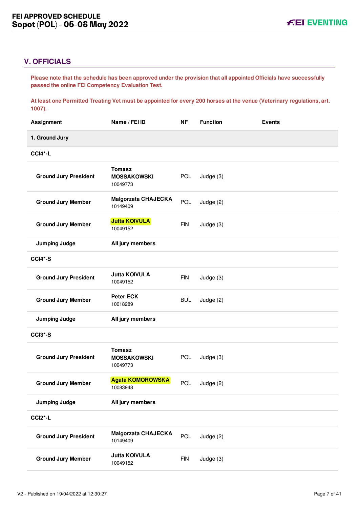# <span id="page-7-0"></span>**V. OFFICIALS**

**Please note that the schedule has been approved under the provision that all appointed Officials have successfully passed the online FEI Competency Evaluation Test.** 

**At least one Permitted Treating Vet must be appointed for every 200 horses at the venue (Veterinary regulations, art. 1007).**

| 1. Ground Jury<br>CCI4*-L<br><b>Tomasz</b><br><b>Ground Jury President</b><br>POL<br>Judge (3)<br><b>MOSSAKOWSKI</b><br>10049773<br><b>Malgorzata CHAJECKA</b><br>POL<br><b>Ground Jury Member</b><br>Judge (2)<br>10149409<br><b>Jutta KOIVULA</b><br><b>Ground Jury Member</b><br><b>FIN</b><br>Judge (3)<br>10049152<br><b>Jumping Judge</b><br>All jury members<br>CCI4*-S<br><b>Jutta KOIVULA</b><br><b>Ground Jury President</b><br><b>FIN</b><br>Judge (3)<br>10049152<br><b>Peter ECK</b><br><b>Ground Jury Member</b><br><b>BUL</b><br>Judge (2)<br>10018289<br><b>Jumping Judge</b><br>All jury members<br>CCI3*-S<br><b>Tomasz</b><br><b>Ground Jury President</b><br>POL<br>Judge (3)<br><b>MOSSAKOWSKI</b><br>10049773<br><b>Agata KOMOROWSKA</b><br>POL<br><b>Ground Jury Member</b><br>Judge (2)<br>10083948<br><b>Jumping Judge</b><br>All jury members<br>CCI <sub>2</sub> *-L<br><b>Malgorzata CHAJECKA</b><br><b>POL</b><br><b>Ground Jury President</b><br>Judge (2)<br>10149409<br><b>Jutta KOIVULA</b><br><b>Ground Jury Member</b><br><b>FIN</b><br>Judge (3)<br>10049152 | <b>Assignment</b> | Name / FEI ID | <b>NF</b> | <b>Function</b> | <b>Events</b> |
|--------------------------------------------------------------------------------------------------------------------------------------------------------------------------------------------------------------------------------------------------------------------------------------------------------------------------------------------------------------------------------------------------------------------------------------------------------------------------------------------------------------------------------------------------------------------------------------------------------------------------------------------------------------------------------------------------------------------------------------------------------------------------------------------------------------------------------------------------------------------------------------------------------------------------------------------------------------------------------------------------------------------------------------------------------------------------------------------------|-------------------|---------------|-----------|-----------------|---------------|
|                                                                                                                                                                                                                                                                                                                                                                                                                                                                                                                                                                                                                                                                                                                                                                                                                                                                                                                                                                                                                                                                                                  |                   |               |           |                 |               |
|                                                                                                                                                                                                                                                                                                                                                                                                                                                                                                                                                                                                                                                                                                                                                                                                                                                                                                                                                                                                                                                                                                  |                   |               |           |                 |               |
|                                                                                                                                                                                                                                                                                                                                                                                                                                                                                                                                                                                                                                                                                                                                                                                                                                                                                                                                                                                                                                                                                                  |                   |               |           |                 |               |
|                                                                                                                                                                                                                                                                                                                                                                                                                                                                                                                                                                                                                                                                                                                                                                                                                                                                                                                                                                                                                                                                                                  |                   |               |           |                 |               |
|                                                                                                                                                                                                                                                                                                                                                                                                                                                                                                                                                                                                                                                                                                                                                                                                                                                                                                                                                                                                                                                                                                  |                   |               |           |                 |               |
|                                                                                                                                                                                                                                                                                                                                                                                                                                                                                                                                                                                                                                                                                                                                                                                                                                                                                                                                                                                                                                                                                                  |                   |               |           |                 |               |
|                                                                                                                                                                                                                                                                                                                                                                                                                                                                                                                                                                                                                                                                                                                                                                                                                                                                                                                                                                                                                                                                                                  |                   |               |           |                 |               |
|                                                                                                                                                                                                                                                                                                                                                                                                                                                                                                                                                                                                                                                                                                                                                                                                                                                                                                                                                                                                                                                                                                  |                   |               |           |                 |               |
|                                                                                                                                                                                                                                                                                                                                                                                                                                                                                                                                                                                                                                                                                                                                                                                                                                                                                                                                                                                                                                                                                                  |                   |               |           |                 |               |
|                                                                                                                                                                                                                                                                                                                                                                                                                                                                                                                                                                                                                                                                                                                                                                                                                                                                                                                                                                                                                                                                                                  |                   |               |           |                 |               |
|                                                                                                                                                                                                                                                                                                                                                                                                                                                                                                                                                                                                                                                                                                                                                                                                                                                                                                                                                                                                                                                                                                  |                   |               |           |                 |               |
|                                                                                                                                                                                                                                                                                                                                                                                                                                                                                                                                                                                                                                                                                                                                                                                                                                                                                                                                                                                                                                                                                                  |                   |               |           |                 |               |
|                                                                                                                                                                                                                                                                                                                                                                                                                                                                                                                                                                                                                                                                                                                                                                                                                                                                                                                                                                                                                                                                                                  |                   |               |           |                 |               |
|                                                                                                                                                                                                                                                                                                                                                                                                                                                                                                                                                                                                                                                                                                                                                                                                                                                                                                                                                                                                                                                                                                  |                   |               |           |                 |               |
|                                                                                                                                                                                                                                                                                                                                                                                                                                                                                                                                                                                                                                                                                                                                                                                                                                                                                                                                                                                                                                                                                                  |                   |               |           |                 |               |
|                                                                                                                                                                                                                                                                                                                                                                                                                                                                                                                                                                                                                                                                                                                                                                                                                                                                                                                                                                                                                                                                                                  |                   |               |           |                 |               |
|                                                                                                                                                                                                                                                                                                                                                                                                                                                                                                                                                                                                                                                                                                                                                                                                                                                                                                                                                                                                                                                                                                  |                   |               |           |                 |               |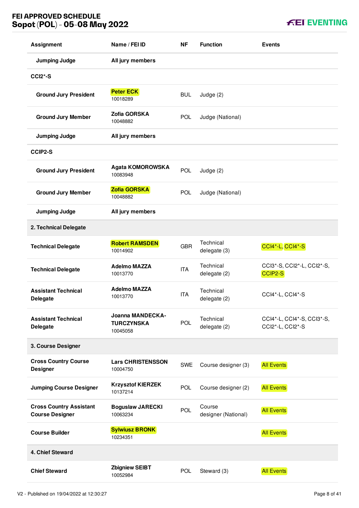# **FEI APPROVED SCHEDULE Sopot (POL) - 05-08 May 2022**

| <b>Assignment</b>                                        | Name / FEI ID                                            | <b>NF</b>  | <b>Function</b>               | <b>Events</b>                                  |
|----------------------------------------------------------|----------------------------------------------------------|------------|-------------------------------|------------------------------------------------|
| <b>Jumping Judge</b>                                     | All jury members                                         |            |                               |                                                |
| <b>CCI2*-S</b>                                           |                                                          |            |                               |                                                |
| <b>Ground Jury President</b>                             | <b>Peter ECK</b><br>10018289                             | <b>BUL</b> | Judge (2)                     |                                                |
| <b>Ground Jury Member</b>                                | Zofia GORSKA<br>10048882                                 | <b>POL</b> | Judge (National)              |                                                |
| <b>Jumping Judge</b>                                     | All jury members                                         |            |                               |                                                |
| <b>CCIP2-S</b>                                           |                                                          |            |                               |                                                |
| <b>Ground Jury President</b>                             | <b>Agata KOMOROWSKA</b><br>10083948                      | <b>POL</b> | Judge (2)                     |                                                |
| <b>Ground Jury Member</b>                                | Zofia GORSKA<br>10048882                                 | POL        | Judge (National)              |                                                |
| <b>Jumping Judge</b>                                     | All jury members                                         |            |                               |                                                |
| 2. Technical Delegate                                    |                                                          |            |                               |                                                |
| <b>Technical Delegate</b>                                | <b>Robert RAMSDEN</b><br>10014902                        | <b>GBR</b> | Technical<br>delegate (3)     | CCI4*-L, CCI4*-S                               |
| <b>Technical Delegate</b>                                | <b>Adelmo MAZZA</b><br>10013770                          | <b>ITA</b> | Technical<br>delegate (2)     | CCI3*-S, CCI2*-L, CCI2*-S,<br>CCIP2-S          |
| <b>Assistant Technical</b><br><b>Delegate</b>            | <b>Adelmo MAZZA</b><br>10013770                          | <b>ITA</b> | Technical<br>delegate (2)     | CCI4*-L, CCI4*-S                               |
| <b>Assistant Technical</b><br><b>Delegate</b>            | <b>Joanna MANDECKA-</b><br><b>TURCZYNSKA</b><br>10045058 | POL        | Technical<br>delegate (2)     | CCI4*-L, CCI4*-S, CCI3*-S,<br>CCI2*-L, CCI2*-S |
| 3. Course Designer                                       |                                                          |            |                               |                                                |
| <b>Cross Country Course</b><br><b>Designer</b>           | <b>Lars CHRISTENSSON</b><br>10004750                     | <b>SWE</b> | Course designer (3)           | <b>All Events</b>                              |
| <b>Jumping Course Designer</b>                           | <b>Krzysztof KIERZEK</b><br>10137214                     | <b>POL</b> | Course designer (2)           | <b>All Events</b>                              |
| <b>Cross Country Assistant</b><br><b>Course Designer</b> | <b>Boguslaw JARECKI</b><br>10063234                      | <b>POL</b> | Course<br>designer (National) | <b>All Events</b>                              |
| <b>Course Builder</b>                                    | <b>Sylwiusz BRONK</b><br>10234351                        |            |                               | <b>All Events</b>                              |
| 4. Chief Steward                                         |                                                          |            |                               |                                                |
| <b>Chief Steward</b>                                     | <b>Zbigniew SEIBT</b><br>10052984                        | <b>POL</b> | Steward (3)                   | <b>All Events</b>                              |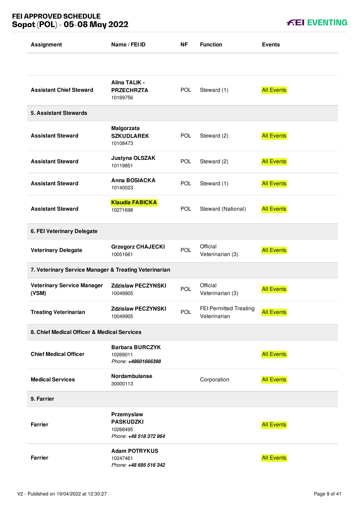# **FEI APPROVED SCHEDULE Sopot (POL) - 05-08 May 2022**

**FEI EVENTING** 

| <b>Assignment</b>                                     | Name / FEI ID                                                        | ΝF         | <b>Function</b>                               | <b>Events</b>     |
|-------------------------------------------------------|----------------------------------------------------------------------|------------|-----------------------------------------------|-------------------|
|                                                       |                                                                      |            |                                               |                   |
| <b>Assistant Chief Steward</b>                        | Alina TALIK -<br><b>PRZECHRZTA</b><br>10169756                       | POL        | Steward (1)                                   | <b>All Events</b> |
| <b>5. Assistant Stewards</b>                          |                                                                      |            |                                               |                   |
| <b>Assistant Steward</b>                              | Malgorzata<br><b>SZKUDLAREK</b><br>10108473                          | <b>POL</b> | Steward (2)                                   | <b>All Events</b> |
| <b>Assistant Steward</b>                              | Justyna OLSZAK<br>10119851                                           | <b>POL</b> | Steward (2)                                   | <b>All Events</b> |
| <b>Assistant Steward</b>                              | Anna BOSIACKA<br>10140023                                            | <b>POL</b> | Steward (1)                                   | <b>All Events</b> |
| <b>Assistant Steward</b>                              | <b>Klaudia FABICKA</b><br>10271698                                   | <b>POL</b> | Steward (National)                            | <b>All Events</b> |
| 6. FEI Veterinary Delegate                            |                                                                      |            |                                               |                   |
| <b>Veterinary Delegate</b>                            | <b>Grzegorz CHAJECKI</b><br>10051661                                 | POL        | Official<br>Veterinarian (3)                  | <b>All Events</b> |
| 7. Veterinary Service Manager & Treating Veterinarian |                                                                      |            |                                               |                   |
| <b>Veterinary Service Manager</b><br>(VSM)            | <b>Zdzislaw PECZYNSKI</b><br>10049905                                | POL        | Official<br>Veterinarian (3)                  | <b>All Events</b> |
| <b>Treating Veterinarian</b>                          | <b>Zdzislaw PECZYNSKI</b><br>10049905                                | <b>POL</b> | <b>FEI Permitted Treating</b><br>Veterinarian | <b>All Events</b> |
| 8. Chief Medical Officer & Medical Services           |                                                                      |            |                                               |                   |
| <b>Chief Medical Officer</b>                          | <b>Barbara BURCZYK</b><br>10269011<br>Phone: +48601666398            |            |                                               | <b>All Events</b> |
| <b>Medical Services</b>                               | Nordambulanse<br>30000113                                            |            | Corporation                                   | <b>All Events</b> |
| 9. Farrier                                            |                                                                      |            |                                               |                   |
| <b>Farrier</b>                                        | Przemyslaw<br><b>PASKUDZKI</b><br>10268495<br>Phone: +48 518 372 964 |            |                                               | <b>All Events</b> |
| <b>Farrier</b>                                        | <b>Adam POTRYKUS</b><br>10247461<br>Phone: +48 695 516 342           |            |                                               | <b>All Events</b> |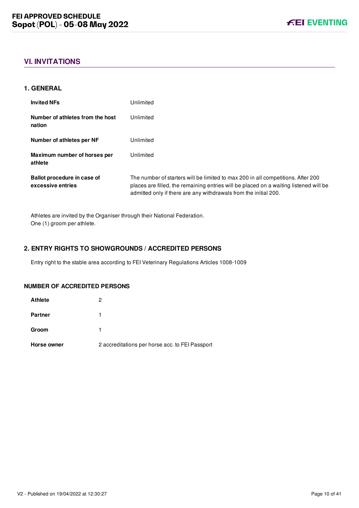# <span id="page-10-0"></span>**VI. INVITATIONS**

#### <span id="page-10-1"></span>**1. GENERAL**

| <b>Invited NFs</b>                               | Unlimited                                                                                                                                                                                                                                     |
|--------------------------------------------------|-----------------------------------------------------------------------------------------------------------------------------------------------------------------------------------------------------------------------------------------------|
| Number of athletes from the host<br>nation       | Unlimited                                                                                                                                                                                                                                     |
| Number of athletes per NF                        | Unlimited                                                                                                                                                                                                                                     |
| Maximum number of horses per<br>athlete          | Unlimited                                                                                                                                                                                                                                     |
| Ballot procedure in case of<br>excessive entries | The number of starters will be limited to max 200 in all competitions. After 200<br>places are filled, the remaining entries will be placed on a waiting listened will be<br>admitted only if there are any withdrawals from the initial 200. |

Athletes are invited by the Organiser through their National Federation. One (1) groom per athlete.

#### <span id="page-10-2"></span>**2. ENTRY RIGHTS TO SHOWGROUNDS / ACCREDITED PERSONS**

Entry right to the stable area according to FEI Veterinary Regulations Articles 1008-1009

#### **NUMBER OF ACCREDITED PERSONS**

| <b>Athlete</b> | 2                                               |
|----------------|-------------------------------------------------|
| <b>Partner</b> |                                                 |
| Groom          |                                                 |
| Horse owner    | 2 accreditations per horse acc. to FEI Passport |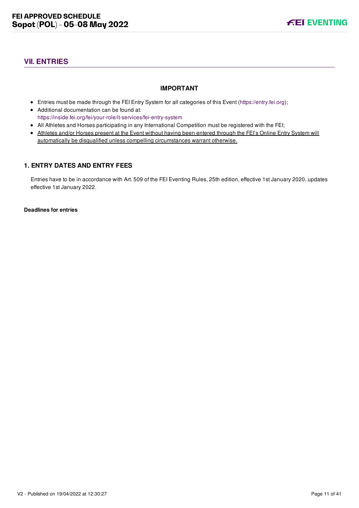# <span id="page-11-0"></span>**VII. ENTRIES**

#### **IMPORTANT**

- Entries must be made through the FEI Entry System for all categories of this Event ([https://entry.fei.org\)](https://entry.fei.org);
- Additional documentation can be found at: <https://inside.fei.org/fei/your-role/it-services/fei-entry-system>
- All Athletes and Horses participating in any International Competition must be registered with the FEI;
- Athletes and/or Horses present at the Event without having been entered through the FEI's Online Entry System will automatically be disqualified unless compelling circumstances warrant otherwise.

#### <span id="page-11-1"></span>**1. ENTRY DATES AND ENTRY FEES**

Entries have to be in accordance with Art. 509 of the FEI Eventing Rules, 25th edition, effective 1st January 2020, updates effective 1st January 2022.

**Deadlines for entries**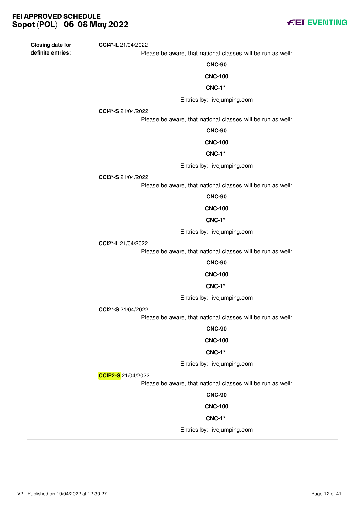**Closing date for definite entries:**

Please be aware, that national classes will be run as well:

**CNC-90**

**CNC-100**

#### **CNC-1\***

Entries by: livejumping.com

**CCI4\*-S** 21/04/2022

**CCI4\*-L** 21/04/2022

Please be aware, that national classes will be run as well:

#### **CNC-90**

#### **CNC-100**

#### **CNC-1\***

Entries by: livejumping.com

**CCI3\*-S** 21/04/2022

Please be aware, that national classes will be run as well:

**CNC-90**

#### **CNC-100**

#### **CNC-1\***

Entries by: livejumping.com

**CCI2\*-L** 21/04/2022

Please be aware, that national classes will be run as well:

#### **CNC-90**

# **CNC-100**

#### **CNC-1\***

Entries by: livejumping.com

**CCI2\*-S** 21/04/2022

Please be aware, that national classes will be run as well:

#### **CNC-90**

#### **CNC-100**

#### **CNC-1\***

Entries by: livejumping.com

**CCIP2-S** 21/04/2022

Please be aware, that national classes will be run as well:

#### **CNC-90**

#### **CNC-100**

#### **CNC-1\***

Entries by: livejumping.com

**FEI EVENTING**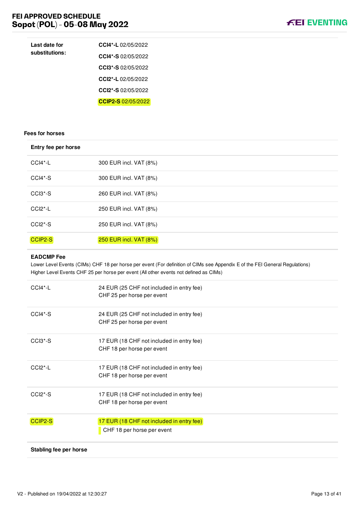

| Last date for<br>substitutions: | CCI4*-L 02/05/2022   |
|---------------------------------|----------------------|
|                                 | CCI4*-S $02/05/2022$ |
|                                 | CCI3*-S $02/05/2022$ |
|                                 | CCI2*-L $02/05/2022$ |
|                                 | CCI2*-S $02/05/2022$ |
|                                 | CCIP2-S 02/05/2022   |

#### **Fees for horses**

| Entry fee per horse              |                        |
|----------------------------------|------------------------|
| CCI4*-L                          | 300 EUR incl. VAT (8%) |
| $CCI4*-S$                        | 300 EUR incl. VAT (8%) |
| CCI3*-S                          | 260 EUR incl. VAT (8%) |
| CCI <sub>2</sub> <sup>*</sup> -L | 250 EUR incl. VAT (8%) |
| CCI <sub>2</sub> <sup>*</sup> -S | 250 EUR incl. VAT (8%) |
| CCIP2-S                          | 250 EUR incl. VAT (8%) |

#### **EADCMP Fee**

Lower Level Events (CIMs) CHF 18 per horse per event (For definition of CIMs see Appendix E of the FEI General Regulations) Higher Level Events CHF 25 per horse per event (All other events not defined as CIMs)

| $CCI4*-L$              | 24 EUR (25 CHF not included in entry fee)<br>CHF 25 per horse per event |
|------------------------|-------------------------------------------------------------------------|
| $CCI4*-S$              | 24 EUR (25 CHF not included in entry fee)<br>CHF 25 per horse per event |
| $CCI3*-S$              | 17 EUR (18 CHF not included in entry fee)<br>CHF 18 per horse per event |
| $CCI2$ <sup>*</sup> -L | 17 EUR (18 CHF not included in entry fee)<br>CHF 18 per horse per event |
| $CCI2*-S$              | 17 EUR (18 CHF not included in entry fee)<br>CHF 18 per horse per event |
| CCIP2-S                | 17 EUR (18 CHF not included in entry fee)<br>CHF 18 per horse per event |
| Stabling fee per horse |                                                                         |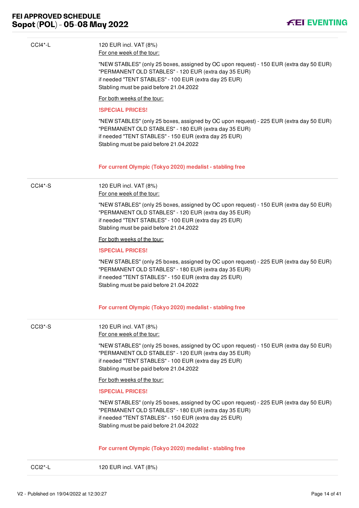

| CCI2*-L   | 120 EUR incl. VAT (8%)                                                                                                                                                                                                                              |
|-----------|-----------------------------------------------------------------------------------------------------------------------------------------------------------------------------------------------------------------------------------------------------|
|           | For current Olympic (Tokyo 2020) medalist - stabling free                                                                                                                                                                                           |
|           | "NEW STABLES" (only 25 boxes, assigned by OC upon request) - 225 EUR (extra day 50 EUR)<br>"PERMANENT OLD STABLES" - 180 EUR (extra day 35 EUR)<br>if needed "TENT STABLES" - 150 EUR (extra day 25 EUR)<br>Stabling must be paid before 21.04.2022 |
|           | <b>ISPECIAL PRICES!</b>                                                                                                                                                                                                                             |
|           | For both weeks of the tour:                                                                                                                                                                                                                         |
|           | "NEW STABLES" (only 25 boxes, assigned by OC upon request) - 150 EUR (extra day 50 EUR)<br>"PERMANENT OLD STABLES" - 120 EUR (extra day 35 EUR)<br>if needed "TENT STABLES" - 100 EUR (extra day 25 EUR)<br>Stabling must be paid before 21.04.2022 |
| CCI3*-S   | 120 EUR incl. VAT (8%)<br>For one week of the tour:                                                                                                                                                                                                 |
|           | For current Olympic (Tokyo 2020) medalist - stabling free                                                                                                                                                                                           |
|           | "NEW STABLES" (only 25 boxes, assigned by OC upon request) - 225 EUR (extra day 50 EUR)<br>"PERMANENT OLD STABLES" - 180 EUR (extra day 35 EUR)<br>if needed "TENT STABLES" - 150 EUR (extra day 25 EUR)<br>Stabling must be paid before 21.04.2022 |
|           | <b>ISPECIAL PRICES!</b>                                                                                                                                                                                                                             |
|           | For both weeks of the tour:                                                                                                                                                                                                                         |
|           | "NEW STABLES" (only 25 boxes, assigned by OC upon request) - 150 EUR (extra day 50 EUR)<br>"PERMANENT OLD STABLES" - 120 EUR (extra day 35 EUR)<br>if needed "TENT STABLES" - 100 EUR (extra day 25 EUR)<br>Stabling must be paid before 21.04.2022 |
|           | For one week of the tour:                                                                                                                                                                                                                           |
| $CCI4*-S$ | 120 EUR incl. VAT (8%)                                                                                                                                                                                                                              |
|           | For current Olympic (Tokyo 2020) medalist - stabling free                                                                                                                                                                                           |
|           | "NEW STABLES" (only 25 boxes, assigned by OC upon request) - 225 EUR (extra day 50 EUR)<br>"PERMANENT OLD STABLES" - 180 EUR (extra day 35 EUR)<br>if needed "TENT STABLES" - 150 EUR (extra day 25 EUR)<br>Stabling must be paid before 21.04.2022 |
|           | <b>ISPECIAL PRICES!</b>                                                                                                                                                                                                                             |
|           | For both weeks of the tour:                                                                                                                                                                                                                         |
|           | "NEW STABLES" (only 25 boxes, assigned by OC upon request) - 150 EUR (extra day 50 EUR)<br>"PERMANENT OLD STABLES" - 120 EUR (extra day 35 EUR)<br>if needed "TENT STABLES" - 100 EUR (extra day 25 EUR)<br>Stabling must be paid before 21.04.2022 |
|           |                                                                                                                                                                                                                                                     |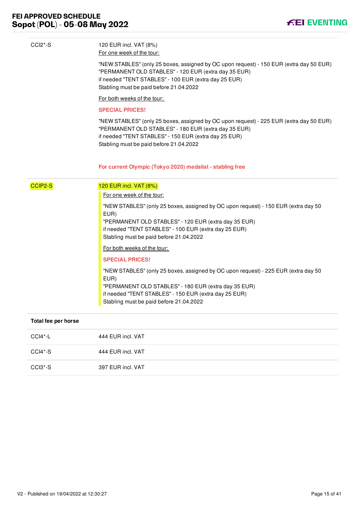

| CCI <sub>2</sub> <sup>*</sup> -S | 120 EUR incl. VAT (8%)<br>For one week of the tour:                                                                                                                                                                                                    |
|----------------------------------|--------------------------------------------------------------------------------------------------------------------------------------------------------------------------------------------------------------------------------------------------------|
|                                  | "NEW STABLES" (only 25 boxes, assigned by OC upon request) - 150 EUR (extra day 50 EUR)<br>"PERMANENT OLD STABLES" - 120 EUR (extra day 35 EUR)<br>if needed "TENT STABLES" - 100 EUR (extra day 25 EUR)<br>Stabling must be paid before 21.04.2022    |
|                                  | For both weeks of the tour:                                                                                                                                                                                                                            |
|                                  | <b>SPECIAL PRICES!</b>                                                                                                                                                                                                                                 |
|                                  | "NEW STABLES" (only 25 boxes, assigned by OC upon request) - 225 EUR (extra day 50 EUR)<br>"PERMANENT OLD STABLES" - 180 EUR (extra day 35 EUR)<br>if needed "TENT STABLES" - 150 EUR (extra day 25 EUR)<br>Stabling must be paid before 21.04.2022    |
|                                  | For current Olympic (Tokyo 2020) medalist - stabling free                                                                                                                                                                                              |
| CCIP2-S                          | 120 EUR incl. VAT (8%)                                                                                                                                                                                                                                 |
|                                  | For one week of the tour:                                                                                                                                                                                                                              |
|                                  | "NEW STABLES" (only 25 boxes, assigned by OC upon request) - 150 EUR (extra day 50<br>EUR)<br>"PERMANENT OLD STABLES" - 120 EUR (extra day 35 EUR)<br>if needed "TENT STABLES" - 100 EUR (extra day 25 EUR)<br>Stabling must be paid before 21.04.2022 |
|                                  | For both weeks of the tour:                                                                                                                                                                                                                            |
|                                  | <b>SPECIAL PRICES!</b>                                                                                                                                                                                                                                 |
|                                  | "NEW STABLES" (only 25 boxes, assigned by OC upon request) - 225 EUR (extra day 50<br>EUR)<br>"PERMANENT OLD STABLES" - 180 EUR (extra day 35 EUR)<br>if needed "TENT STABLES" - 150 EUR (extra day 25 EUR)<br>Stabling must be paid before 21.04.2022 |
| Total fee per horse              |                                                                                                                                                                                                                                                        |
| CCI4*-L                          | 444 EUR incl. VAT                                                                                                                                                                                                                                      |
| CCI4*-S                          | 444 EUR incl. VAT                                                                                                                                                                                                                                      |

CCI3\*-S 397 EUR incl. VAT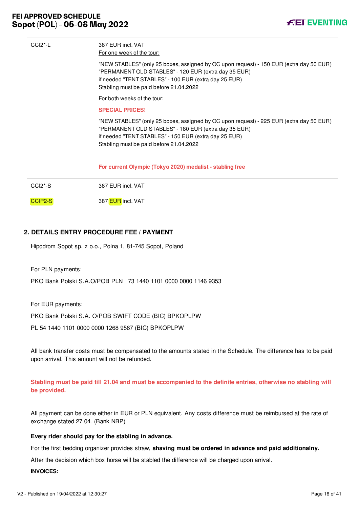

| $CCI2^* - L$ | 387 FUR incl. VAT<br>For one week of the tour:                                                                                                                                                                                                      |
|--------------|-----------------------------------------------------------------------------------------------------------------------------------------------------------------------------------------------------------------------------------------------------|
|              | "NEW STABLES" (only 25 boxes, assigned by OC upon request) - 150 EUR (extra day 50 EUR)<br>"PERMANENT OLD STABLES" - 120 EUR (extra day 35 EUR)<br>if needed "TENT STABLES" - 100 EUR (extra day 25 EUR)<br>Stabling must be paid before 21.04.2022 |
|              | For both weeks of the tour:                                                                                                                                                                                                                         |
|              | <b>SPECIAL PRICES!</b>                                                                                                                                                                                                                              |
|              | "NEW STABLES" (only 25 boxes, assigned by OC upon request) - 225 EUR (extra day 50 EUR)<br>"PERMANENT OLD STABLES" - 180 EUR (extra day 35 EUR)<br>if needed "TENT STABLES" - 150 EUR (extra day 25 EUR)<br>Stabling must be paid before 21.04.2022 |
|              | For current Olympic (Tokyo 2020) medalist - stabling free                                                                                                                                                                                           |
| $CCI2*-S$    | 387 EUR incl. VAT                                                                                                                                                                                                                                   |
| CCIP2-S      | 387 EUR incl. VAT                                                                                                                                                                                                                                   |

#### <span id="page-16-0"></span>**2. DETAILS ENTRY PROCEDURE FEE / PAYMENT**

Hipodrom Sopot sp. z o.o., Polna 1, 81-745 Sopot, Poland

#### For PLN payments:

PKO Bank Polski S.A.O/POB PLN 73 1440 1101 0000 0000 1146 9353

For EUR payments:

PKO Bank Polski S.A. O/POB SWIFT CODE (BIC) BPKOPLPW

PL 54 1440 1101 0000 0000 1268 9567 (BIC) BPKOPLPW

All bank transfer costs must be compensated to the amounts stated in the Schedule. The difference has to be paid upon arrival. This amount will not be refunded.

**Stabling must be paid till 21.04 and must be accompanied to the definite entries, otherwise no stabling will be provided.** 

All payment can be done either in EUR or PLN equivalent. Any costs difference must be reimbursed at the rate of exchange stated 27.04. (Bank NBP)

#### **Every rider should pay for the stabling in advance.**

For the first bedding organizer provides straw, **shaving must be ordered in advance and paid additionalny.**

After the decision which box horse will be stabled the difference will be charged upon arrival.

#### **INVOICES:**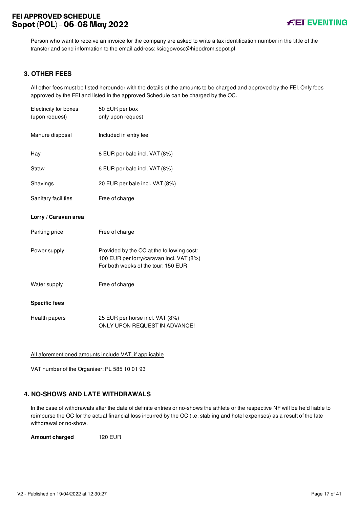Person who want to receive an invoice for the company are asked to write a tax identification number in the tittle of the transfer and send information to the email address: ksiegowosc@hipodrom.sopot.pl

#### <span id="page-17-0"></span>**3. OTHER FEES**

All other fees must be listed hereunder with the details of the amounts to be charged and approved by the FEI. Only fees approved by the FEI and listed in the approved Schedule can be charged by the OC.

| Electricity for boxes | 50 EUR per box                                                                                                               |
|-----------------------|------------------------------------------------------------------------------------------------------------------------------|
| (upon request)        | only upon request                                                                                                            |
| Manure disposal       | Included in entry fee                                                                                                        |
| Hay                   | 8 EUR per bale incl. VAT (8%)                                                                                                |
| <b>Straw</b>          | 6 EUR per bale incl. VAT (8%)                                                                                                |
| Shavings              | 20 EUR per bale incl. VAT (8%)                                                                                               |
| Sanitary facilities   | Free of charge                                                                                                               |
| Lorry / Caravan area  |                                                                                                                              |
| Parking price         | Free of charge                                                                                                               |
| Power supply          | Provided by the OC at the following cost:<br>100 EUR per lorry/caravan incl. VAT (8%)<br>For both weeks of the tour: 150 EUR |
| Water supply          | Free of charge                                                                                                               |
| <b>Specific fees</b>  |                                                                                                                              |
| Health papers         | 25 EUR per horse incl. VAT (8%)<br>ONLY UPON REQUEST IN ADVANCE!                                                             |

All aforementioned amounts include VAT, if applicable

VAT number of the Organiser: PL 585 10 01 93

#### <span id="page-17-1"></span>**4. NO-SHOWS AND LATE WITHDRAWALS**

In the case of withdrawals after the date of definite entries or no-shows the athlete or the respective NF will be held liable to reimburse the OC for the actual financial loss incurred by the OC (i.e. stabling and hotel expenses) as a result of the late withdrawal or no-show.

**Amount charged** 120 EUR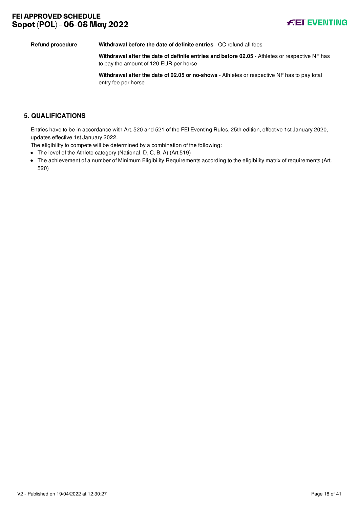

**Refund procedure Withdrawal before the date of definite entries** - OC refund all fees

**Withdrawal after the date of definite entries and before 02.05** - Athletes or respective NF has to pay the amount of 120 EUR per horse

**Withdrawal after the date of 02.05 or no-shows** - Athletes or respective NF has to pay total entry fee per horse

#### <span id="page-18-0"></span>**5. QUALIFICATIONS**

Entries have to be in accordance with Art. 520 and 521 of the FEI Eventing Rules, 25th edition, effective 1st January 2020, updates effective 1st January 2022.

The eligibility to compete will be determined by a combination of the following:

- The level of the Athlete category (National, D, C, B, A) (Art.519)
- The achievement of a number of Minimum Eligibility Requirements according to the eligibility matrix of requirements (Art. 520)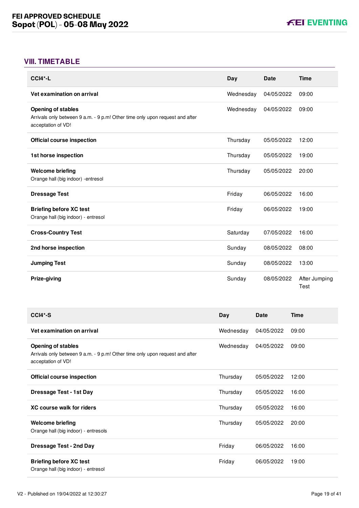# <span id="page-19-0"></span>**VIII. TIMETABLE**

| $CCI4*-L$                                                                                                                       | Day       | <b>Date</b> | <b>Time</b>           |
|---------------------------------------------------------------------------------------------------------------------------------|-----------|-------------|-----------------------|
| Vet examination on arrival                                                                                                      | Wednesday | 04/05/2022  | 09:00                 |
| <b>Opening of stables</b><br>Arrivals only between 9 a.m. - 9 p.m! Other time only upon request and after<br>acceptation of VD! | Wednesday | 04/05/2022  | 09:00                 |
| <b>Official course inspection</b>                                                                                               | Thursday  | 05/05/2022  | 12:00                 |
| 1st horse inspection                                                                                                            | Thursday  | 05/05/2022  | 19:00                 |
| <b>Welcome briefing</b><br>Orange hall (big indoor) - entresol                                                                  | Thursday  | 05/05/2022  | 20:00                 |
| <b>Dressage Test</b>                                                                                                            | Friday    | 06/05/2022  | 16:00                 |
| <b>Briefing before XC test</b><br>Orange hall (big indoor) - entresol                                                           | Friday    | 06/05/2022  | 19:00                 |
| <b>Cross-Country Test</b>                                                                                                       | Saturday  | 07/05/2022  | 16:00                 |
| 2nd horse inspection                                                                                                            | Sunday    | 08/05/2022  | 08:00                 |
| <b>Jumping Test</b>                                                                                                             | Sunday    | 08/05/2022  | 13:00                 |
| Prize-giving                                                                                                                    | Sunday    | 08/05/2022  | After Jumping<br>Test |

| CCI4*-S                                                                                                                         | Day       | <b>Date</b> | <b>Time</b> |
|---------------------------------------------------------------------------------------------------------------------------------|-----------|-------------|-------------|
| Vet examination on arrival                                                                                                      | Wednesday | 04/05/2022  | 09:00       |
| <b>Opening of stables</b><br>Arrivals only between 9 a.m. - 9 p.m! Other time only upon request and after<br>acceptation of VD! | Wednesday | 04/05/2022  | 09:00       |
| Official course inspection                                                                                                      | Thursday  | 05/05/2022  | 12:00       |
| <b>Dressage Test - 1st Day</b>                                                                                                  | Thursday  | 05/05/2022  | 16:00       |
| <b>XC course walk for riders</b>                                                                                                | Thursday  | 05/05/2022  | 16:00       |
| <b>Welcome briefing</b><br>Orange hall (big indoor) - entresols                                                                 | Thursday  | 05/05/2022  | 20:00       |
| <b>Dressage Test - 2nd Day</b>                                                                                                  | Friday    | 06/05/2022  | 16:00       |
| <b>Briefing before XC test</b><br>Orange hall (big indoor) - entresol                                                           | Friday    | 06/05/2022  | 19:00       |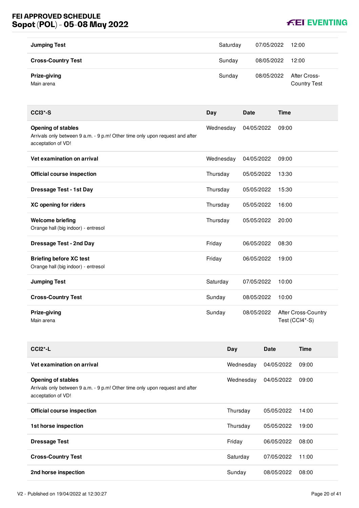# **FEI APPROVED SCHEDULE Sopot (POL) - 05-08 May 2022**



| <b>Jumping Test</b>        | Saturday | 07/05/2022 | 12:00                               |
|----------------------------|----------|------------|-------------------------------------|
| <b>Cross-Country Test</b>  | Sunday   | 08/05/2022 | 12:00                               |
| Prize-giving<br>Main arena | Sunday   | 08/05/2022 | After Cross-<br><b>Country Test</b> |

| $CCI3*-S$                                                                                                                       | Day       | <b>Date</b> | <b>Time</b>                           |
|---------------------------------------------------------------------------------------------------------------------------------|-----------|-------------|---------------------------------------|
| <b>Opening of stables</b><br>Arrivals only between 9 a.m. - 9 p.m! Other time only upon request and after<br>acceptation of VD! | Wednesday | 04/05/2022  | 09:00                                 |
| Vet examination on arrival                                                                                                      | Wednesday | 04/05/2022  | 09:00                                 |
| <b>Official course inspection</b>                                                                                               | Thursday  | 05/05/2022  | 13:30                                 |
| <b>Dressage Test - 1st Day</b>                                                                                                  | Thursday  | 05/05/2022  | 15:30                                 |
| <b>XC opening for riders</b>                                                                                                    | Thursday  | 05/05/2022  | 16:00                                 |
| <b>Welcome briefing</b><br>Orange hall (big indoor) - entresol                                                                  | Thursday  | 05/05/2022  | 20:00                                 |
| <b>Dressage Test - 2nd Day</b>                                                                                                  | Friday    | 06/05/2022  | 08:30                                 |
| <b>Briefing before XC test</b><br>Orange hall (big indoor) - entresol                                                           | Friday    | 06/05/2022  | 19:00                                 |
| <b>Jumping Test</b>                                                                                                             | Saturday  | 07/05/2022  | 10:00                                 |
| <b>Cross-Country Test</b>                                                                                                       | Sunday    | 08/05/2022  | 10:00                                 |
| Prize-giving<br>Main arena                                                                                                      | Sunday    | 08/05/2022  | After Cross-Country<br>Test (CCI4*-S) |

| $CCI2$ <sup>*</sup> -L                                                                                                          | Day       | Date       | <b>Time</b> |
|---------------------------------------------------------------------------------------------------------------------------------|-----------|------------|-------------|
| Vet examination on arrival                                                                                                      | Wednesday | 04/05/2022 | 09:00       |
| <b>Opening of stables</b><br>Arrivals only between 9 a.m. - 9 p.m! Other time only upon request and after<br>acceptation of VD! | Wednesday | 04/05/2022 | 09:00       |
| <b>Official course inspection</b>                                                                                               | Thursday  | 05/05/2022 | 14:00       |
| 1st horse inspection                                                                                                            | Thursday  | 05/05/2022 | 19:00       |
| <b>Dressage Test</b>                                                                                                            | Friday    | 06/05/2022 | 08:00       |
| <b>Cross-Country Test</b>                                                                                                       | Saturday  | 07/05/2022 | 11:00       |
| 2nd horse inspection                                                                                                            | Sunday    | 08/05/2022 | 08:00       |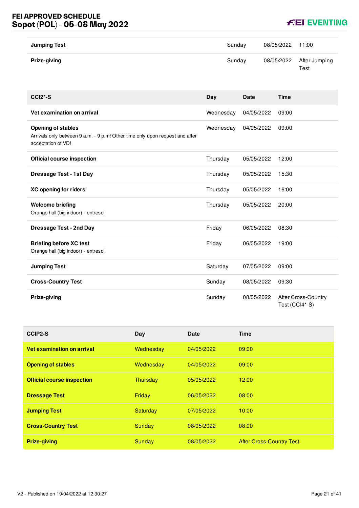# **FEI APPROVED SCHEDULE Sopot (POL) - 05-08 May 2022**



| <b>Jumping Test</b> | Sundav | 08/05/2022 11:00 |                                  |
|---------------------|--------|------------------|----------------------------------|
| Prize-giving        | Sunday |                  | 08/05/2022 After Jumping<br>Test |

| $CCI2*-S$                                                                                                                       | Day       | Date       | <b>Time</b>                                  |
|---------------------------------------------------------------------------------------------------------------------------------|-----------|------------|----------------------------------------------|
| Vet examination on arrival                                                                                                      | Wednesday | 04/05/2022 | 09:00                                        |
| <b>Opening of stables</b><br>Arrivals only between 9 a.m. - 9 p.m! Other time only upon request and after<br>acceptation of VD! | Wednesday | 04/05/2022 | 09:00                                        |
| <b>Official course inspection</b>                                                                                               | Thursday  | 05/05/2022 | 12:00                                        |
| <b>Dressage Test - 1st Day</b>                                                                                                  | Thursday  | 05/05/2022 | 15:30                                        |
| XC opening for riders                                                                                                           | Thursday  | 05/05/2022 | 16:00                                        |
| <b>Welcome briefing</b><br>Orange hall (big indoor) - entresol                                                                  | Thursday  | 05/05/2022 | 20:00                                        |
| <b>Dressage Test - 2nd Day</b>                                                                                                  | Friday    | 06/05/2022 | 08:30                                        |
| <b>Briefing before XC test</b><br>Orange hall (big indoor) - entresol                                                           | Friday    | 06/05/2022 | 19:00                                        |
| <b>Jumping Test</b>                                                                                                             | Saturday  | 07/05/2022 | 09:00                                        |
| <b>Cross-Country Test</b>                                                                                                       | Sunday    | 08/05/2022 | 09:30                                        |
| Prize-giving                                                                                                                    | Sunday    | 08/05/2022 | <b>After Cross-Country</b><br>Test (CCI4*-S) |

| CCIP2-S                           | Day             | Date       | Time                            |
|-----------------------------------|-----------------|------------|---------------------------------|
| Vet examination on arrival        | Wednesday       | 04/05/2022 | 09:00                           |
| <b>Opening of stables</b>         | Wednesday       | 04/05/2022 | 09:00                           |
| <b>Official course inspection</b> | Thursday        | 05/05/2022 | 12:00                           |
| <b>Dressage Test</b>              | Friday          | 06/05/2022 | 08:00                           |
| <b>Jumping Test</b>               | <b>Saturday</b> | 07/05/2022 | 10:00                           |
| <b>Cross-Country Test</b>         | Sunday          | 08/05/2022 | 08:00                           |
| <b>Prize-giving</b>               | Sunday          | 08/05/2022 | <b>After Cross-Country Test</b> |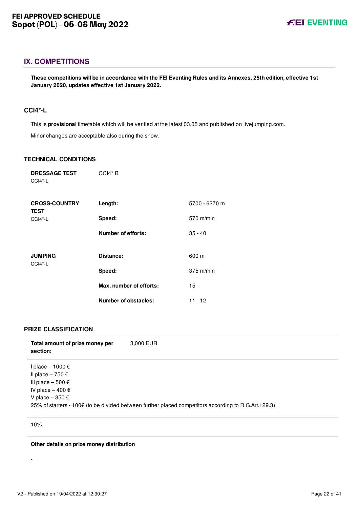# <span id="page-22-0"></span>**IX. COMPETITIONS**

**These competitions will be in accordance with the FEI Eventing Rules and its Annexes, 25th edition, effective 1st January 2020, updates effective 1st January 2022.**

#### <span id="page-22-1"></span>**CCI4\*-L**

This is **provisional** timetable which will be verified at the latest 03.05 and published on livejumping.com. Minor changes are acceptable also during the show.

#### **TECHNICAL CONDITIONS**

| <b>DRESSAGE TEST</b><br>$CCI4*-L$   | $CCH* B$                    |               |
|-------------------------------------|-----------------------------|---------------|
| <b>CROSS-COUNTRY</b><br><b>TEST</b> | Length:                     | 5700 - 6270 m |
| $CCI4*-L$                           | Speed:                      | 570 m/min     |
|                                     | <b>Number of efforts:</b>   | $35 - 40$     |
|                                     |                             |               |
| <b>JUMPING</b><br>$CCI4*-L$         | Distance:                   | 600 m         |
|                                     | Speed:                      | $375$ m/min   |
|                                     | Max. number of efforts:     | 15            |
|                                     | <b>Number of obstacles:</b> | 11 - 12       |

#### **PRIZE CLASSIFICATION**

| Total amount of prize money per<br>section:                                                                        | 3,000 EUR                                                                                            |
|--------------------------------------------------------------------------------------------------------------------|------------------------------------------------------------------------------------------------------|
| l place – 1000 €<br>Il place – 750 €<br>III place $-500 \text{ } \in$<br>IV place $-400 \in$<br>V place $-350 \in$ | 25% of starters - 100€ (to be divided between further placed competitors according to R.G.Art.129.3) |

10%

-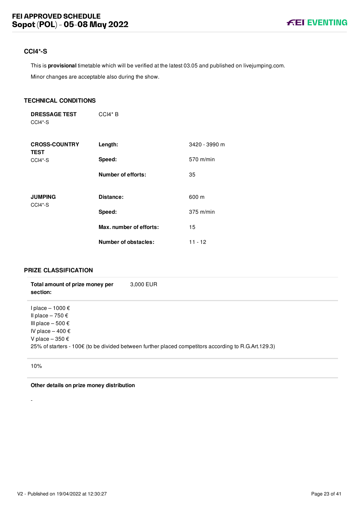# <span id="page-23-0"></span>**CCI4\*-S**

This is **provisional** timetable which will be verified at the latest 03.05 and published on livejumping.com.

Minor changes are acceptable also during the show.

#### **TECHNICAL CONDITIONS**

**DRESSAGE TEST** CCI4\*-S CCI4\* B

| <b>CROSS-COUNTRY</b><br><b>TEST</b> | Length:                 | 3420 - 3990 m |
|-------------------------------------|-------------------------|---------------|
| $CCI4*-S$                           | Speed:                  | $570$ m/min   |
|                                     | Number of efforts:      | 35            |
| <b>JUMPING</b><br>CCI4*-S           | Distance:               | 600 m         |
|                                     | Speed:                  | $375$ m/min   |
|                                     | Max. number of efforts: | 15            |
|                                     | Number of obstacles:    | 11 - 12       |

#### **PRIZE CLASSIFICATION**

| Total amount of prize money per<br>section:                                                                                 | 3,000 EUR                                                                                            |
|-----------------------------------------------------------------------------------------------------------------------------|------------------------------------------------------------------------------------------------------|
| l place – 1000 €<br>Il place – 750 €<br>III place $-500 \in$<br>IV place $-400 \text{ } \in$<br>V place $-350 \text{ } \in$ | 25% of starters - 100€ (to be divided between further placed competitors according to R.G.Art.129.3) |

10%

-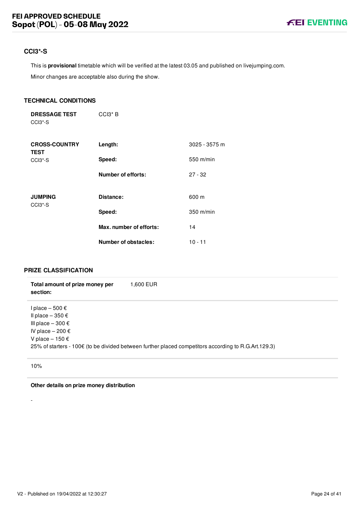# <span id="page-24-0"></span>**CCI3\*-S**

This is **provisional** timetable which will be verified at the latest 03.05 and published on livejumping.com.

Minor changes are acceptable also during the show.

#### **TECHNICAL CONDITIONS**

**DRESSAGE TEST** CCI3\*-S CCI3\* B

| <b>CROSS-COUNTRY</b><br><b>TEST</b>                | Length:                   | 3025 - 3575 m |
|----------------------------------------------------|---------------------------|---------------|
| CCI <sub>3</sub> <sup>*</sup> -S                   | Speed:                    | 550 m/min     |
|                                                    | <b>Number of efforts:</b> | $27 - 32$     |
| <b>JUMPING</b><br>CCI <sub>3</sub> <sup>*</sup> -S | Distance:                 | 600 m         |
|                                                    | Speed:                    | 350 m/min     |
|                                                    | Max. number of efforts:   | 14            |
|                                                    | Number of obstacles:      | $10 - 11$     |

#### **PRIZE CLASSIFICATION**

| Total amount of prize money per<br>section:                                                                          | 1,600 EUR                                                                                            |
|----------------------------------------------------------------------------------------------------------------------|------------------------------------------------------------------------------------------------------|
| l place – 500 €<br>Il place $-350 \in$<br>III place $-300 \in$<br>IV place $-200 \in$<br>V place $-150 \text{ } \in$ | 25% of starters - 100€ (to be divided between further placed competitors according to R.G.Art.129.3) |

10%

-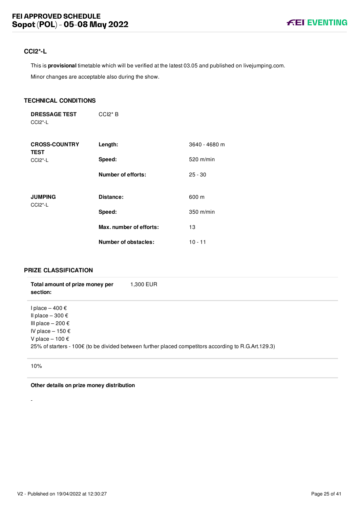## <span id="page-25-0"></span>**CCI2\*-L**

This is **provisional** timetable which will be verified at the latest 03.05 and published on livejumping.com.

Minor changes are acceptable also during the show.

#### **TECHNICAL CONDITIONS**

**DRESSAGE TEST** CCI2\*-L CCI2\* B

| <b>CROSS-COUNTRY</b><br><b>TEST</b> | Length:                 | 3640 - 4680 m |
|-------------------------------------|-------------------------|---------------|
| $CCI2$ *-L                          | Speed:                  | 520 m/min     |
|                                     | Number of efforts:      | $25 - 30$     |
| <b>JUMPING</b><br>$CCI2$ *-L        | Distance:               | 600 m         |
|                                     | Speed:                  | $350$ m/min   |
|                                     | Max. number of efforts: | 13            |
|                                     | Number of obstacles:    | $10 - 11$     |

#### **PRIZE CLASSIFICATION**

| Total amount of prize money per<br>section:                                                                                            | 1,300 EUR                                                                                            |
|----------------------------------------------------------------------------------------------------------------------------------------|------------------------------------------------------------------------------------------------------|
| l place – 400 €<br>Il place $-300 \text{ } \in$<br>III place $-200 \in$<br>IV place $-150 \text{ } \in$<br>V place $-100 \text{ } \in$ | 25% of starters - 100€ (to be divided between further placed competitors according to R.G.Art.129.3) |

10%

-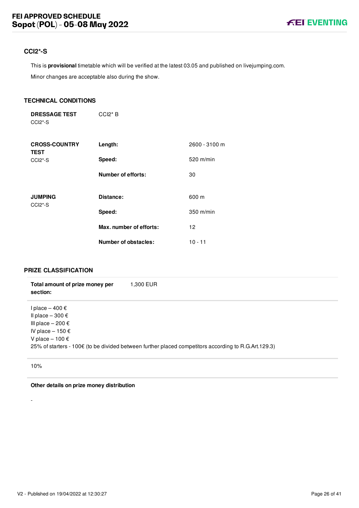# <span id="page-26-0"></span>**CCI2\*-S**

This is **provisional** timetable which will be verified at the latest 03.05 and published on livejumping.com.

Minor changes are acceptable also during the show.

#### **TECHNICAL CONDITIONS**

**DRESSAGE TEST** CCI2\*-S CCI2\* B

| <b>CROSS-COUNTRY</b><br><b>TEST</b>                | Length:                 | 2600 - 3100 m |
|----------------------------------------------------|-------------------------|---------------|
| $CCI2*-S$                                          | Speed:                  | $520$ m/min   |
|                                                    | Number of efforts:      | 30            |
| <b>JUMPING</b><br>CCI <sub>2</sub> <sup>*</sup> -S | Distance:               | 600 m         |
|                                                    | Speed:                  | $350$ m/min   |
|                                                    | Max. number of efforts: | 12            |
|                                                    | Number of obstacles:    | $10 - 11$     |

# **PRIZE CLASSIFICATION**

| Total amount of prize money per<br>section:                                                                                   | 1,300 EUR                                                                                            |
|-------------------------------------------------------------------------------------------------------------------------------|------------------------------------------------------------------------------------------------------|
| l place – 400 €<br>Il place $-300 \text{ } \in$<br>III place $-200 \in$<br>IV place $-150 \in$<br>V place $-100 \text{ } \in$ | 25% of starters - 100€ (to be divided between further placed competitors according to R.G.Art.129.3) |

10%

-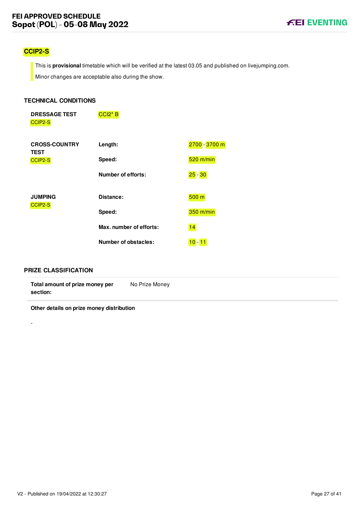# <span id="page-27-0"></span>**CCIP2-S**

This is **provisional** timetable which will be verified at the latest 03.05 and published on livejumping.com.

Minor changes are acceptable also during the show.

#### **TECHNICAL CONDITIONS**

| <b>DRESSAGE TEST</b> | $ CC 2* B $ |
|----------------------|-------------|
| CCIP2-S              |             |

| <b>CROSS-COUNTRY</b><br><b>TEST</b> | Length:                 | 2700 - 3700 m    |
|-------------------------------------|-------------------------|------------------|
| CCIP2-S                             | Speed:                  | $520$ m/min      |
|                                     | Number of efforts:      | $25 - 30$        |
|                                     |                         |                  |
| <b>JUMPING</b><br>CCIP2-S           | Distance:               | 500 <sub>m</sub> |
|                                     | Speed:                  | 350 m/min        |
|                                     | Max. number of efforts: | 14               |
|                                     | Number of obstacles:    | $10 - 11$        |

#### **PRIZE CLASSIFICATION**

-

| Total amount of prize money per | No Prize Money |
|---------------------------------|----------------|
| section:                        |                |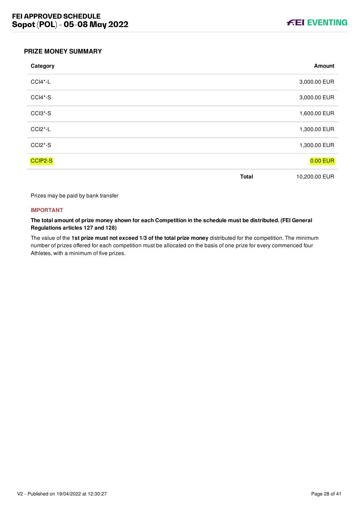

#### <span id="page-28-0"></span>**PRIZE MONEY SUMMARY**

| Category                         |              | Amount          |
|----------------------------------|--------------|-----------------|
| CCI4*-L                          |              | 3,000.00 EUR    |
| CCI4*-S                          |              | 3,000.00 EUR    |
| CCI3*-S                          |              | 1,600.00 EUR    |
| CCI <sub>2</sub> <sup>*</sup> -L |              | 1,300.00 EUR    |
| CCI2*-S                          |              | 1,300.00 EUR    |
| CCIP2-S                          |              | <b>0.00 EUR</b> |
|                                  | <b>Total</b> | 10,200.00 EUR   |

Prizes may be paid by bank transfer

#### **IMPORTANT**

**The total amount of prize money shown for each Competition in the schedule must be distributed. (FEI General Regulations articles 127 and 128)**

The value of the **1st prize must not exceed 1/3 of the total prize money** distributed for the competition. The minimum number of prizes offered for each competition must be allocated on the basis of one prize for every commenced four Athletes, with a minimum of five prizes.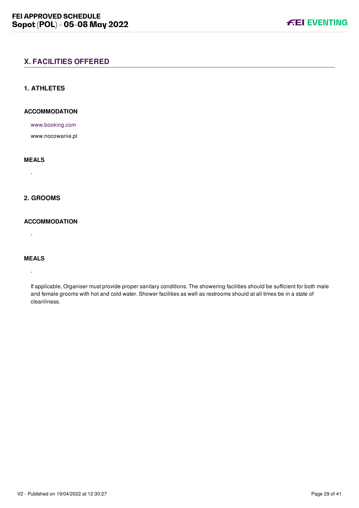#### <span id="page-29-1"></span><span id="page-29-0"></span>**1. ATHLETES**

#### **ACCOMMODATION**

[www.booking.com](file:///home/deployer/api-schedules/production/releases/44/symfony/public/www.booking.com)

www.nocowanie.pl

#### **MEALS**

-

#### <span id="page-29-2"></span>**2. GROOMS**

#### **ACCOMMODATION**

-

#### **MEALS**

-

If applicable, Organiser must provide proper sanitary conditions. The showering facilities should be sufficient for both male and female grooms with hot and cold water. Shower facilities as well as restrooms should at all times be in a state of cleanliness.

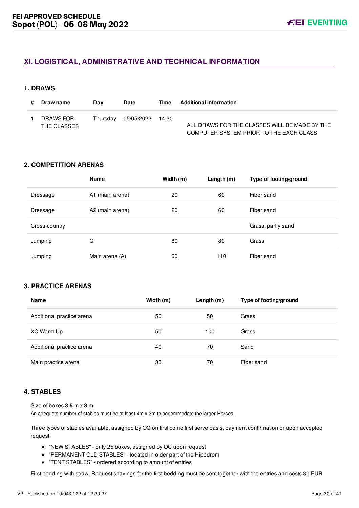# <span id="page-30-0"></span>**XI. LOGISTICAL, ADMINISTRATIVE AND TECHNICAL INFORMATION**

#### <span id="page-30-1"></span>**1. DRAWS**

| Draw name                | Dav | <b>Date</b>               | Time | <b>Additional information</b>                                                            |
|--------------------------|-----|---------------------------|------|------------------------------------------------------------------------------------------|
| DRAWS FOR<br>THE CLASSES |     | Thursday 05/05/2022 14:30 |      | ALL DRAWS FOR THE CLASSES WILL BE MADE BY THE<br>COMPUTER SYSTEM PRIOR TO THE EACH CLASS |

#### <span id="page-30-2"></span>**2. COMPETITION ARENAS**

|               | <b>Name</b>     | Width (m) | Length $(m)$ | Type of footing/ground |
|---------------|-----------------|-----------|--------------|------------------------|
| Dressage      | A1 (main arena) | 20        | 60           | Fiber sand             |
| Dressage      | A2 (main arena) | 20        | 60           | Fiber sand             |
| Cross-country |                 |           |              | Grass, partly sand     |
| Jumping       | С               | 80        | 80           | Grass                  |
| Jumping       | Main arena (A)  | 60        | 110          | Fiber sand             |

# <span id="page-30-3"></span>**3. PRACTICE ARENAS**

| <b>Name</b>               | Width (m) | Length $(m)$ | Type of footing/ground |
|---------------------------|-----------|--------------|------------------------|
| Additional practice arena | 50        | 50           | Grass                  |
| XC Warm Up                | 50        | 100          | Grass                  |
| Additional practice arena | 40        | 70           | Sand                   |
| Main practice arena       | 35        | 70           | Fiber sand             |

#### <span id="page-30-4"></span>**4. STABLES**

Size of boxes **3.5** m x **3** m

An adequate number of stables must be at least 4m x 3m to accommodate the larger Horses.

Three types of stables available, assigned by OC on first come first serve basis, payment confirmation or upon accepted request:

- "NEW STABLES" only 25 boxes, assigned by OC upon request
- "PERMANENT OLD STABLES" located in older part of the Hipodrom
- "TENT STABLES" ordered according to amount of entries

First bedding with straw. Request shavings for the first bedding must be sent together with the entries and costs 30 EUR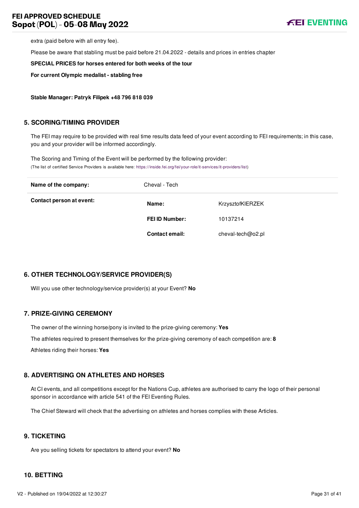

extra (paid before with all entry fee).

Please be aware that stabling must be paid before 21.04.2022 - details and prices in entries chapter

**SPECIAL PRICES for horses entered for both weeks of the tour**

**For current Olympic medalist - stabling free**

**Stable Manager: Patryk Filipek +48 796 818 039**

#### <span id="page-31-0"></span>**5. SCORING/TIMING PROVIDER**

The FEI may require to be provided with real time results data feed of your event according to FEI requirements; in this case, you and your provider will be informed accordingly.

The Scoring and Timing of the Event will be performed by the following provider: (The list of certified Service Providers is available here: [https://inside.fei.org/fei/your-role/it-services/it-providers/list\)](https://inside.fei.org/fei/your-role/it-services/it-providers/list)

| Name of the company:     | Cheval - Tech         |                   |
|--------------------------|-----------------------|-------------------|
| Contact person at event: | Name:                 | KrzysztofKIERZEK  |
|                          | <b>FEI ID Number:</b> | 10137214          |
|                          | <b>Contact email:</b> | cheval-tech@o2.pl |

#### <span id="page-31-1"></span>**6. OTHER TECHNOLOGY/SERVICE PROVIDER(S)**

Will you use other technology/service provider(s) at your Event? **No**

#### <span id="page-31-2"></span>**7. PRIZE-GIVING CEREMONY**

The owner of the winning horse/pony is invited to the prize-giving ceremony: **Yes** The athletes required to present themselves for the prize-giving ceremony of each competition are: **8**

Athletes riding their horses: **Yes**

#### <span id="page-31-3"></span>**8. ADVERTISING ON ATHLETES AND HORSES**

At CI events, and all competitions except for the Nations Cup, athletes are authorised to carry the logo of their personal sponsor in accordance with article 541 of the FEI Eventing Rules.

The Chief Steward will check that the advertising on athletes and horses complies with these Articles.

#### <span id="page-31-4"></span>**9. TICKETING**

Are you selling tickets for spectators to attend your event? **No**

#### <span id="page-31-5"></span>**10. BETTING**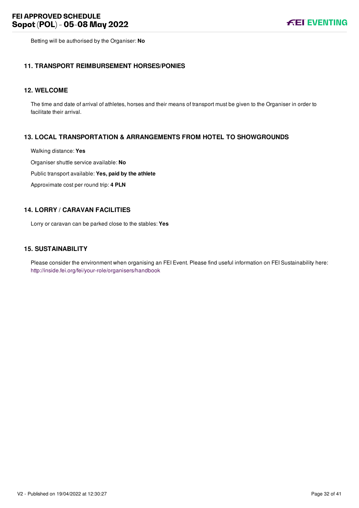Betting will be authorised by the Organiser: **No**

#### <span id="page-32-0"></span>**11. TRANSPORT REIMBURSEMENT HORSES/PONIES**

#### <span id="page-32-1"></span>**12. WELCOME**

The time and date of arrival of athletes, horses and their means of transport must be given to the Organiser in order to facilitate their arrival.

#### <span id="page-32-2"></span>**13. LOCAL TRANSPORTATION & ARRANGEMENTS FROM HOTEL TO SHOWGROUNDS**

Walking distance: **Yes**

Organiser shuttle service available: **No**

Public transport available: **Yes, paid by the athlete**

Approximate cost per round trip: **4 PLN**

#### <span id="page-32-3"></span>**14. LORRY / CARAVAN FACILITIES**

Lorry or caravan can be parked close to the stables: **Yes**

#### <span id="page-32-4"></span>**15. SUSTAINABILITY**

Please consider the environment when organising an FEI Event. Please find useful information on FEI Sustainability here: <http://inside.fei.org/fei/your-role/organisers/handbook>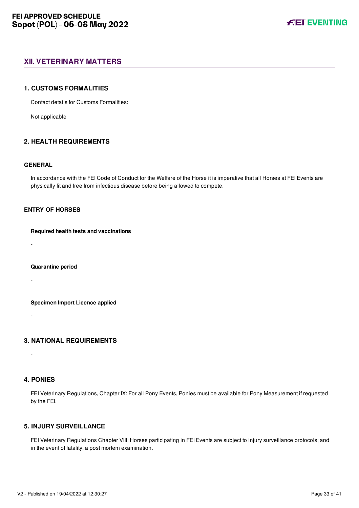## <span id="page-33-0"></span>**XII. VETERINARY MATTERS**

#### <span id="page-33-1"></span>**1. CUSTOMS FORMALITIES**

Contact details for Customs Formalities:

Not applicable

#### <span id="page-33-2"></span>**2. HEALTH REQUIREMENTS**

#### **GENERAL**

In accordance with the FEI Code of Conduct for the Welfare of the Horse it is imperative that all Horses at FEI Events are physically fit and free from infectious disease before being allowed to compete.

#### **ENTRY OF HORSES**

#### **Required health tests and vaccinations**

-

#### **Quarantine period**

-

**Specimen Import Licence applied**

<span id="page-33-3"></span>

# **3. NATIONAL REQUIREMENTS**

#### <span id="page-33-4"></span>**4. PONIES**

-

-

FEI Veterinary Regulations, Chapter IX: For all Pony Events, Ponies must be available for Pony Measurement if requested by the FEI.

### <span id="page-33-5"></span>**5. INJURY SURVEILLANCE**

FEI Veterinary Regulations Chapter VIII: Horses participating in FEI Events are subject to injury surveillance protocols; and in the event of fatality, a post mortem examination.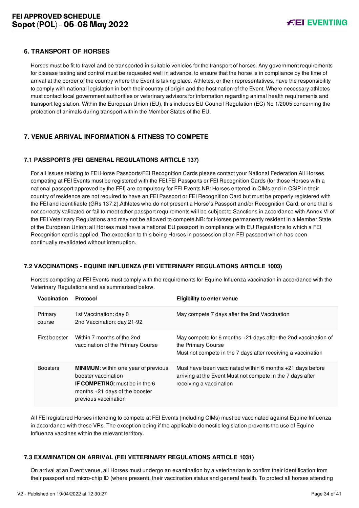#### <span id="page-34-0"></span>**6. TRANSPORT OF HORSES**

Horses must be fit to travel and be transported in suitable vehicles for the transport of horses. Any government requirements for disease testing and control must be requested well in advance, to ensure that the horse is in compliance by the time of arrival at the border of the country where the Event is taking place. Athletes, or their representatives, have the responsibility to comply with national legislation in both their country of origin and the host nation of the Event. Where necessary athletes must contact local government authorities or veterinary advisors for information regarding animal health requirements and transport legislation. Within the European Union (EU), this includes EU Council Regulation (EC) No 1/2005 concerning the protection of animals during transport within the Member States of the EU.

# <span id="page-34-1"></span>**7. VENUE ARRIVAL INFORMATION & FITNESS TO COMPETE**

#### <span id="page-34-2"></span>**7.1 PASSPORTS (FEI GENERAL REGULATIONS ARTICLE 137)**

For all issues relating to FEI Horse Passports/FEI Recognition Cards please contact your National Federation.All Horses competing at FEI Events must be registered with the FEI.FEI Passports or FEI Recognition Cards (for those Horses with a national passport approved by the FEI) are compulsory for FEI Events.NB: Horses entered in CIMs and in CSIP in their country of residence are not required to have an FEI Passport or FEI Recognition Card but must be properly registered with the FEI and identifiable (GRs 137.2).Athletes who do not present a Horse's Passport and/or Recognition Card, or one that is not correctly validated or fail to meet other passport requirements will be subject to Sanctions in accordance with Annex VI of the FEI Veterinary Regulations and may not be allowed to compete.NB: for Horses permanently resident in a Member State of the European Union: all Horses must have a national EU passport in compliance with EU Regulations to which a FEI Recognition card is applied. The exception to this being Horses in possession of an FEI passport which has been continually revalidated without interruption.

#### <span id="page-34-3"></span>**7.2 VACCINATIONS - EQUINE INFLUENZA (FEI VETERINARY REGULATIONS ARTICLE 1003)**

Horses competing at FEI Events must comply with the requirements for Equine Influenza vaccination in accordance with the Veterinary Regulations and as summarised below.

| Vaccination       | <b>Protocol</b>                                                                                                                                                         | <b>Eligibility to enter venue</b>                                                                                                                    |  |
|-------------------|-------------------------------------------------------------------------------------------------------------------------------------------------------------------------|------------------------------------------------------------------------------------------------------------------------------------------------------|--|
| Primary<br>course | 1st Vaccination: day 0<br>2nd Vaccination: day 21-92                                                                                                                    | May compete 7 days after the 2nd Vaccination                                                                                                         |  |
| First booster     | Within 7 months of the 2nd<br>vaccination of the Primary Course                                                                                                         | May compete for 6 months +21 days after the 2nd vaccination of<br>the Primary Course<br>Must not compete in the 7 days after receiving a vaccination |  |
| <b>Boosters</b>   | <b>MINIMUM:</b> within one year of previous<br>booster vaccination<br><b>IF COMPETING:</b> must be in the 6<br>months $+21$ days of the booster<br>previous vaccination | Must have been vaccinated within 6 months +21 days before<br>arriving at the Event Must not compete in the 7 days after<br>receiving a vaccination   |  |

All FEI registered Horses intending to compete at FEI Events (including CIMs) must be vaccinated against Equine Influenza in accordance with these VRs. The exception being if the applicable domestic legislation prevents the use of Equine Influenza vaccines within the relevant territory.

#### <span id="page-34-4"></span>**7.3 EXAMINATION ON ARRIVAL (FEI VETERINARY REGULATIONS ARTICLE 1031)**

On arrival at an Event venue, all Horses must undergo an examination by a veterinarian to confirm their identification from their passport and micro-chip ID (where present), their vaccination status and general health. To protect all horses attending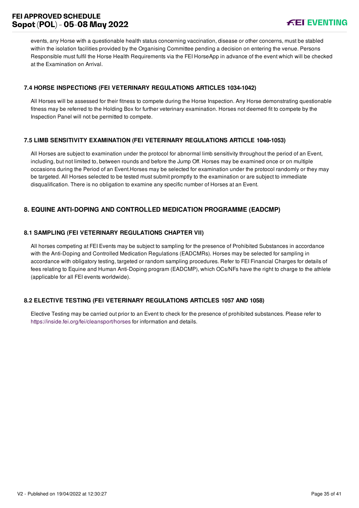events, any Horse with a questionable health status concerning vaccination, disease or other concerns, must be stabled within the isolation facilities provided by the Organising Committee pending a decision on entering the venue. Persons Responsible must fulfil the Horse Health Requirements via the FEI HorseApp in advance of the event which will be checked at the Examination on Arrival.

#### <span id="page-35-0"></span>**7.4 HORSE INSPECTIONS (FEI VETERINARY REGULATIONS ARTICLES 1034-1042)**

All Horses will be assessed for their fitness to compete during the Horse Inspection. Any Horse demonstrating questionable fitness may be referred to the Holding Box for further veterinary examination. Horses not deemed fit to compete by the Inspection Panel will not be permitted to compete.

#### <span id="page-35-1"></span>**7.5 LIMB SENSITIVITY EXAMINATION (FEI VETERINARY REGULATIONS ARTICLE 1048-1053)**

All Horses are subject to examination under the protocol for abnormal limb sensitivity throughout the period of an Event, including, but not limited to, between rounds and before the Jump Off. Horses may be examined once or on multiple occasions during the Period of an Event.Horses may be selected for examination under the protocol randomly or they may be targeted. All Horses selected to be tested must submit promptly to the examination or are subject to immediate disqualification. There is no obligation to examine any specific number of Horses at an Event.

# <span id="page-35-2"></span>**8. EQUINE ANTI-DOPING AND CONTROLLED MEDICATION PROGRAMME (EADCMP)**

#### <span id="page-35-3"></span>**8.1 SAMPLING (FEI VETERINARY REGULATIONS CHAPTER VII)**

All horses competing at FEI Events may be subject to sampling for the presence of Prohibited Substances in accordance with the Anti-Doping and Controlled Medication Regulations (EADCMRs). Horses may be selected for sampling in accordance with obligatory testing, targeted or random sampling procedures. Refer to FEI Financial Charges for details of fees relating to Equine and Human Anti-Doping program (EADCMP), which OCs/NFs have the right to charge to the athlete (applicable for all FEI events worldwide).

#### <span id="page-35-4"></span>**8.2 ELECTIVE TESTING (FEI VETERINARY REGULATIONS ARTICLES 1057 AND 1058)**

Elective Testing may be carried out prior to an Event to check for the presence of prohibited substances. Please refer to <https://inside.fei.org/fei/cleansport/horses>for information and details.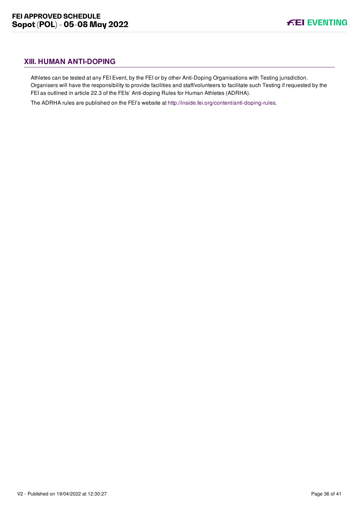# <span id="page-36-0"></span>**XIII. HUMAN ANTI-DOPING**

Athletes can be tested at any FEI Event, by the FEI or by other Anti-Doping Organisations with Testing jurisdiction. Organisers will have the responsibility to provide facilities and staff/volunteers to facilitate such Testing if requested by the FEI as outlined in article 22.3 of the FEIs' Anti-doping Rules for Human Athletes (ADRHA).

The ADRHA rules are published on the FEI's website at [http://inside.fei.org/content/anti-doping-rules.](http://inside.fei.org/content/anti-doping-rules)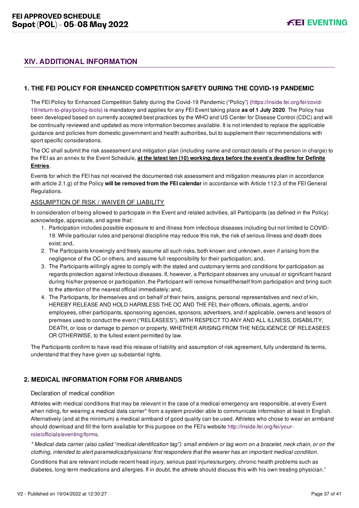# <span id="page-37-0"></span>**XIV. ADDITIONAL INFORMATION**

#### <span id="page-37-1"></span>**1. THE FEI POLICY FOR ENHANCED COMPETITION SAFETY DURING THE COVID-19 PANDEMIC**

[The FEI Policy for Enhanced Competition Safety during the Covid-19 Pandemic \("Policy"\) \(https://inside.fei.org/fei/covid-](https://inside.fei.org/fei/covid-19/return-to-play/policy-tools)19/return-to-play/policy-tools) is mandatory and applies for any FEI Event taking place **as of 1 July 2020**. The Policy has been developed based on currently accepted best practices by the WHO and US Center for Disease Control (CDC) and will be continually reviewed and updated as more information becomes available. It is not intended to replace the applicable guidance and policies from domestic government and health authorities, but to supplement their recommendations with sport specific considerations.

The OC shall submit the risk assessment and mitigation plan (including name and contact details of the person in charge) to the FEI as an annex to the Event Schedule, **at the latest ten (10) working days before the event's deadline for Definite Entries**.

Events for which the FEI has not received the documented risk assessment and mitigation measures plan in accordance with article 2.1.g) of the Policy **will be removed from the FEI calendar** in accordance with Article 112.3 of the FEI General Regulations.

#### ASSUMPTION OF RISK / WAIVER OF LIABILITY

In consideration of being allowed to participate in the Event and related activities, all Participants (as defined in the Policy) acknowledge, appreciate, and agree that:

- 1. Participation includes possible exposure to and illness from infectious diseases including but not limited to COVID-19. While particular rules and personal discipline may reduce this risk, the risk of serious illness and death does exist; and,
- 2. The Participants knowingly and freely assume all such risks, both known and unknown, even if arising from the negligence of the OC or others, and assume full responsibility for their participation; and,
- 3. The Participants willingly agree to comply with the stated and customary terms and conditions for participation as regards protection against infectious diseases. If, however, a Participant observes any unusual or significant hazard during his/her presence or participation, the Participant will remove himself/herself from participation and bring such to the attention of the nearest official immediately; and,
- 4. The Participants, for themselves and on behalf of their heirs, assigns, personal representatives and next of kin, HEREBY RELEASE AND HOLD HARMLESS THE OC AND THE FEI, their officers, officials, agents, and/or employees, other participants, sponsoring agencies, sponsors, advertisers, and if applicable, owners and lessors of premises used to conduct the event ("RELEASEES"), WITH RESPECT TO ANY AND ALL ILLNESS, DISABILITY, DEATH, or loss or damage to person or property, WHETHER ARISING FROM THE NEGLIGENCE OF RELEASEES OR OTHERWISE, to the fullest extent permitted by law.

The Participants confirm to have read this release of liability and assumption of risk agreement, fully understand its terms, understand that they have given up substantial rights.

#### <span id="page-37-2"></span>**2. MEDICAL INFORMATION FORM FOR ARMBANDS**

#### Declaration of medical condition

Athletes with medical conditions that may be relevant in the case of a medical emergency are responsible, at every Event when riding, for wearing a medical data carrier\* from a system provider able to communicate information at least in English. Alternatively (and at the minimum) a medical armband of good quality can be used. Athletes who chose to wear an armband [should download and fill the form available for this purpose on the FEI's website http://inside.fei.org/fei/your](http://inside.fei.org/fei/your-role/officials/eventing/forms)role/officials/eventing/forms.

*\* Medical data carrier (also called "medical identification tag"): small emblem or tag worn on a bracelet, neck chain, or on the clothing, intended to alert paramedics/physicians/ first responders that the wearer has an important medical condition.*

Conditions that are relevant include recent head injury, serious past injuries/surgery, chronic health problems such as diabetes, long-term medications and allergies. If in doubt, the athlete should discuss this with his own treating physician."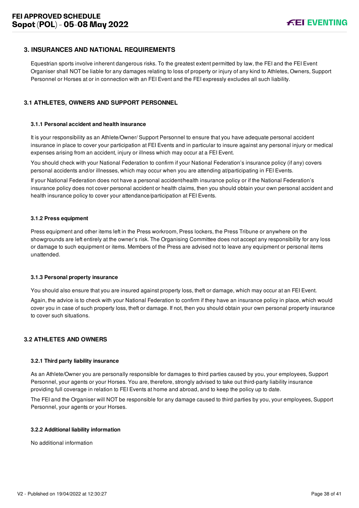#### <span id="page-38-0"></span>**3. INSURANCES AND NATIONAL REQUIREMENTS**

Equestrian sports involve inherent dangerous risks. To the greatest extent permitted by law, the FEI and the FEI Event Organiser shall NOT be liable for any damages relating to loss of property or injury of any kind to Athletes, Owners, Support Personnel or Horses at or in connection with an FEI Event and the FEI expressly excludes all such liability.

#### <span id="page-38-1"></span>**3.1 ATHLETES, OWNERS AND SUPPORT PERSONNEL**

#### **3.1.1 Personal accident and health insurance**

It is your responsibility as an Athlete/Owner/ Support Personnel to ensure that you have adequate personal accident insurance in place to cover your participation at FEI Events and in particular to insure against any personal injury or medical expenses arising from an accident, injury or illness which may occur at a FEI Event.

You should check with your National Federation to confirm if your National Federation's insurance policy (if any) covers personal accidents and/or illnesses, which may occur when you are attending at/participating in FEI Events.

If your National Federation does not have a personal accident/health insurance policy or if the National Federation's insurance policy does not cover personal accident or health claims, then you should obtain your own personal accident and health insurance policy to cover your attendance/participation at FEI Events.

#### **3.1.2 Press equipment**

Press equipment and other items left in the Press workroom, Press lockers, the Press Tribune or anywhere on the showgrounds are left entirely at the owner's risk. The Organising Committee does not accept any responsibility for any loss or damage to such equipment or items. Members of the Press are advised not to leave any equipment or personal items unattended.

#### **3.1.3 Personal property insurance**

You should also ensure that you are insured against property loss, theft or damage, which may occur at an FEI Event.

Again, the advice is to check with your National Federation to confirm if they have an insurance policy in place, which would cover you in case of such property loss, theft or damage. If not, then you should obtain your own personal property insurance to cover such situations.

#### <span id="page-38-2"></span>**3.2 ATHLETES AND OWNERS**

#### **3.2.1 Third party liability insurance**

As an Athlete/Owner you are personally responsible for damages to third parties caused by you, your employees, Support Personnel, your agents or your Horses. You are, therefore, strongly advised to take out third-party liability insurance providing full coverage in relation to FEI Events at home and abroad, and to keep the policy up to date.

The FEI and the Organiser will NOT be responsible for any damage caused to third parties by you, your employees, Support Personnel, your agents or your Horses.

#### **3.2.2 Additional liability information**

No additional information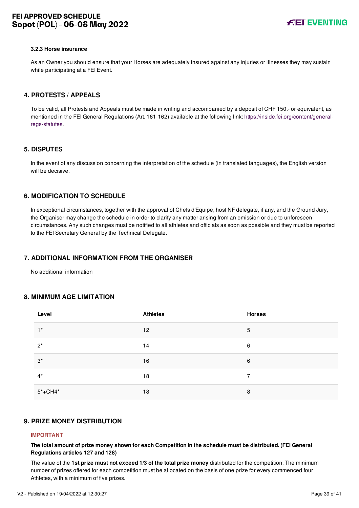#### **3.2.3 Horse insurance**

As an Owner you should ensure that your Horses are adequately insured against any injuries or illnesses they may sustain while participating at a FEI Event.

#### <span id="page-39-0"></span>**4. PROTESTS / APPEALS**

To be valid, all Protests and Appeals must be made in writing and accompanied by a deposit of CHF 150.- or equivalent, as [mentioned in the FEI General Regulations \(Art. 161-162\) available at the following link: https://inside.fei.org/content/general](https://inside.fei.org/content/general-regs-statutes)regs-statutes.

#### <span id="page-39-1"></span>**5. DISPUTES**

In the event of any discussion concerning the interpretation of the schedule (in translated languages), the English version will be decisive.

#### <span id="page-39-2"></span>**6. MODIFICATION TO SCHEDULE**

In exceptional circumstances, together with the approval of Chefs d'Equipe, host NF delegate, if any, and the Ground Jury, the Organiser may change the schedule in order to clarify any matter arising from an omission or due to unforeseen circumstances. Any such changes must be notified to all athletes and officials as soon as possible and they must be reported to the FEI Secretary General by the Technical Delegate.

#### <span id="page-39-3"></span>**7. ADDITIONAL INFORMATION FROM THE ORGANISER**

No additional information

#### <span id="page-39-4"></span>**8. MINIMUM AGE LIMITATION**

| Level       | <b>Athletes</b> | <b>Horses</b> |
|-------------|-----------------|---------------|
| $1^*$       | 12              | 5             |
| $2^*$       | 14              | 6             |
| $3^*$       | 16              | 6             |
| $4^*$       | 18              | 7             |
| $5* + CH4*$ | 18              | 8             |

#### <span id="page-39-5"></span>**9. PRIZE MONEY DISTRIBUTION**

#### **IMPORTANT**

**The total amount of prize money shown for each Competition in the schedule must be distributed. (FEI General Regulations articles 127 and 128)**

The value of the **1st prize must not exceed 1/3 of the total prize money** distributed for the competition. The minimum number of prizes offered for each competition must be allocated on the basis of one prize for every commenced four Athletes, with a minimum of five prizes.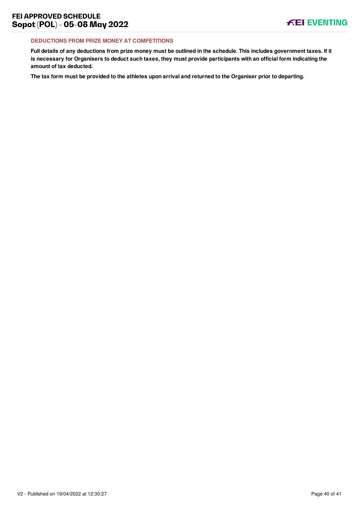#### **DEDUCTIONS FROM PRIZE MONEY AT COMPETITIONS**

**Full details of any deductions from prize money must be outlined in the schedule. This includes government taxes. If it is necessary for Organisers to deduct such taxes, they must provide participants with an official form indicating the amount of tax deducted.**

**The tax form must be provided to the athletes upon arrival and returned to the Organiser prior to departing.**